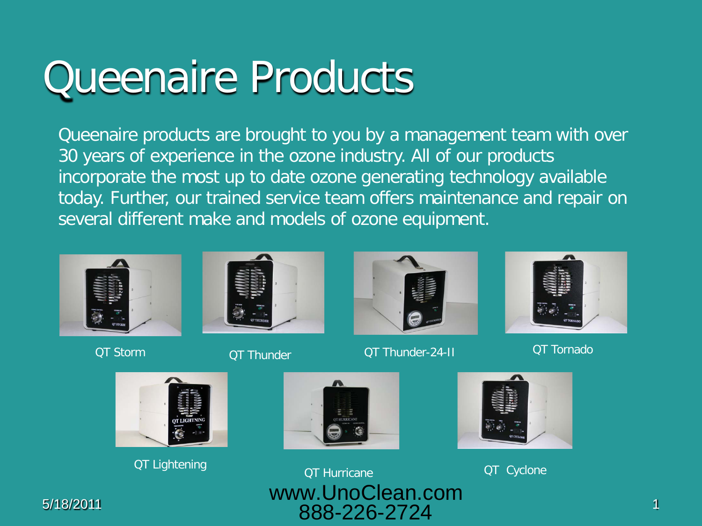## Queenaire Products

Queenaire products are brought to you by a management team with over 30 years of experience in the ozone industry. All of our products incorporate the most up to date ozone generating technology available today. Further, our trained service team offers maintenance and repair on several different make and models of ozone equipment.







QT Storm QT Thunder QT Thunder QT Thunder-24-II QT Tornado







5/18/2011 1 888-226-2724QT Lightening QT Hurricane QT Cyclone www.UnoClean.com